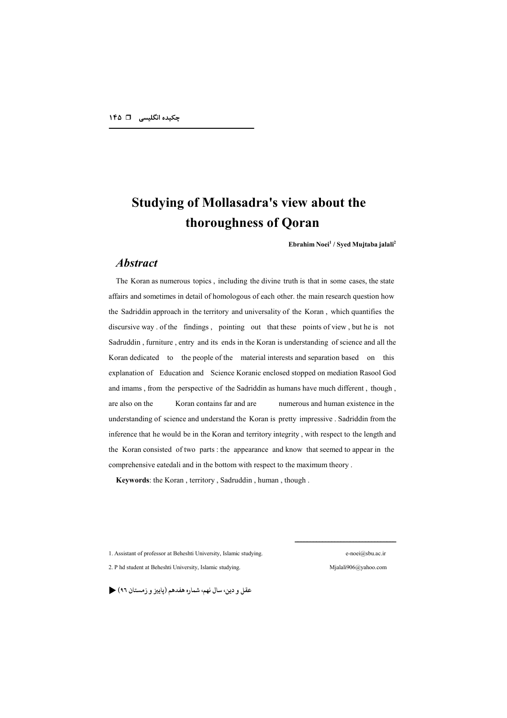# **Studying of Mollasadra's view about the thoroughness of Qoran**

**Ebrahim Noei1 / Syed Mujtaba jalali2**

### *Abstract*

The Koran as numerous topics , including the divine truth is that in some cases, the state affairs and sometimes in detail of homologous of each other. the main research question how the Sadriddin approach in the territory and universality of the Koran , which quantifies the discursive way . of the findings , pointing out that these points of view , but he is not Sadruddin , furniture , entry and its ends in the Koran is understanding of science and all the Koran dedicated to the people of the material interests and separation based on this explanation of Education and Science Koranic enclosed stopped on mediation Rasool God and imams , from the perspective of the Sadriddin as humans have much different , though , are also on the Koran contains far and are numerous and human existence in the understanding of science and understand the Koran is pretty impressive . Sadriddin from the inference that he would be in the Koran and territory integrity , with respect to the length and the Koran consisted of two parts : the appearance and know that seemed to appear in the comprehensive eatedali and in the bottom with respect to the maximum theory .

**Keywords**: the Koran , territory , Sadruddin , human , though .

1. Assistant of professor at Beheshti University, Islamic studying. e-noei@sbu.ac.ir

2. P hd student at Beheshti University, Islamic studying. Mjalali906@yahoo.com

عقل و دين، سال نهم، شماره هفدهم (پاييز و زمستان ٩٦)

#################################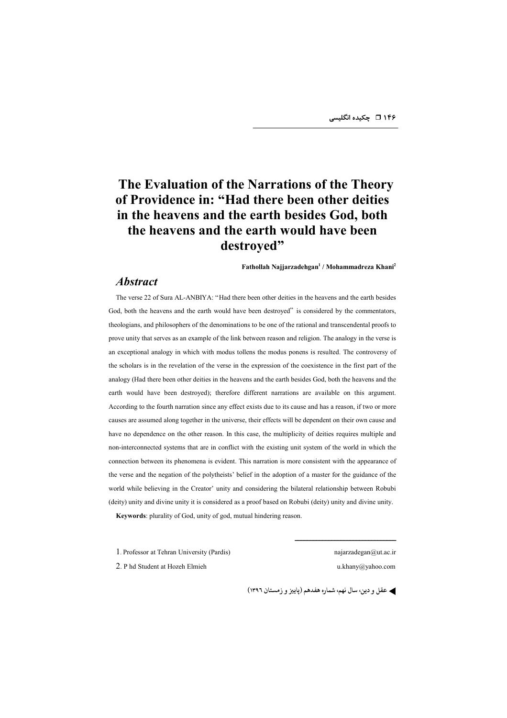## **The Evaluation of the Narrations of the Theory of Providence in: "Had there been other deities in the heavens and the earth besides God, both the heavens and the earth would have been destroyed"**

**Fathollah Najjarzadehgan1 / Mohammadreza Khani2**

#### *Abstract*

The verse 22 of Sura AL-ANBIYA: "Had there been other deities in the heavens and the earth besides God, both the heavens and the earth would have been destroyed" is considered by the commentators, theologians, and philosophers of the denominations to be one of the rational and transcendental proofs to prove unity that serves as an example of the link between reason and religion. The analogy in the verse is an exceptional analogy in which with modus tollens the modus ponens is resulted. The controversy of the scholars is in the revelation of the verse in the expression of the coexistence in the first part of the analogy (Had there been other deities in the heavens and the earth besides God, both the heavens and the earth would have been destroyed); therefore different narrations are available on this argument. According to the fourth narration since any effect exists due to its cause and has a reason, if two or more causes are assumed along together in the universe, their effects will be dependent on their own cause and have no dependence on the other reason. In this case, the multiplicity of deities requires multiple and non-interconnected systems that are in conflict with the existing unit system of the world in which the connection between its phenomena is evident. This narration is more consistent with the appearance of the verse and the negation of the polytheists' belief in the adoption of a master for the guidance of the world while believing in the Creator' unity and considering the bilateral relationship between Robubi (deity) unity and divine unity it is considered as a proof based on Robubi (deity) unity and divine unity.

**Keywords**: plurality of God, unity of god, mutual hindering reason.

1. Professor at Tehran University (Pardis) najarzadegan@ut.ac.ir

#################################

2. P hd Student at Hozeh Elmieh u.khany@yahoo.com

**) عقل و دین سال نهم شماره هفدهم (پاییز و زمستان ۱۳۹۶)**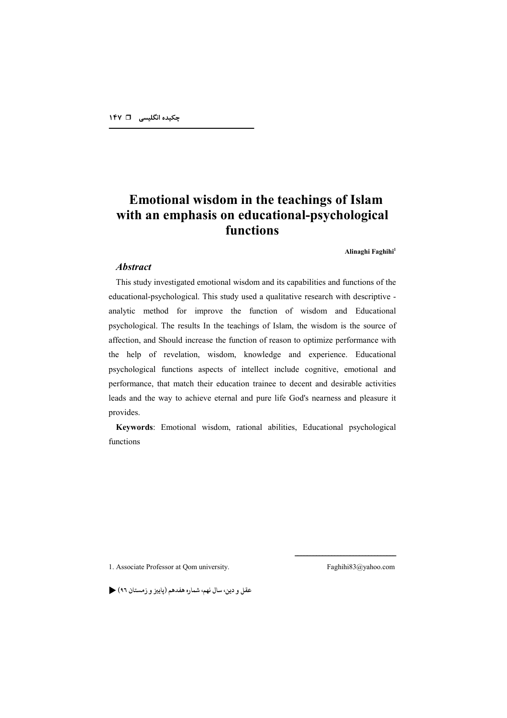## **Emotional wisdom in the teachings of Islam with an emphasis on educational-psychological functions**

**Alinaghi Faghihi<sup>1</sup>** 

#### *Abstract*

This study investigated emotional wisdom and its capabilities and functions of the educational-psychological. This study used a qualitative research with descriptive analytic method for improve the function of wisdom and Educational psychological. The results In the teachings of Islam, the wisdom is the source of affection, and Should increase the function of reason to optimize performance with the help of revelation, wisdom, knowledge and experience. Educational psychological functions aspects of intellect include cognitive, emotional and performance, that match their education trainee to decent and desirable activities leads and the way to achieve eternal and pure life God's nearness and pleasure it provides.

**Keywords**: Emotional wisdom, rational abilities, Educational psychological functions

1. Associate Professor at Qom university. Faghihi83@yahoo.com

#################################

عقل و دين، سال نهم، شماره هفدهم (پاييز و زمستان ٩٦) ﴿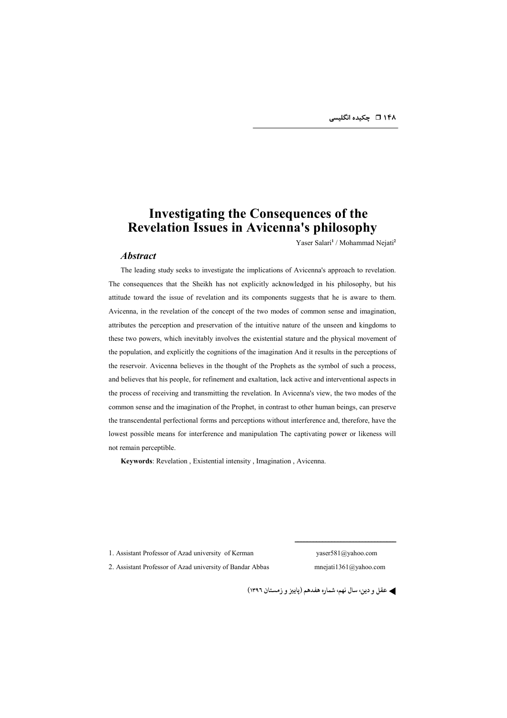## **Investigating the Consequences of the Revelation Issues in Avicenna's philosophy**

Yaser Salari**<sup>1</sup>** / Mohammad Nejati**<sup>2</sup>**

#### *Abstract*

The leading study seeks to investigate the implications of Avicenna's approach to revelation. The consequences that the Sheikh has not explicitly acknowledged in his philosophy, but his attitude toward the issue of revelation and its components suggests that he is aware to them. Avicenna, in the revelation of the concept of the two modes of common sense and imagination, attributes the perception and preservation of the intuitive nature of the unseen and kingdoms to these two powers, which inevitably involves the existential stature and the physical movement of the population, and explicitly the cognitions of the imagination And it results in the perceptions of the reservoir. Avicenna believes in the thought of the Prophets as the symbol of such a process, and believes that his people, for refinement and exaltation, lack active and interventional aspects in the process of receiving and transmitting the revelation. In Avicenna's view, the two modes of the common sense and the imagination of the Prophet, in contrast to other human beings, can preserve the transcendental perfectional forms and perceptions without interference and, therefore, have the lowest possible means for interference and manipulation The captivating power or likeness will not remain perceptible.

**Keywords**: Revelation , Existential intensity , Imagination , Avicenna.

1. Assistant Professor of Azad university of Kerman yaser581@yahoo.com

2. Assistant Professor of Azad university of Bandar Abbas mnejati1361@yahoo.com

#################################

**) عقل و دین سال نهم شماره هفدهم (پاییز و زمستان ۱۳۹۶)**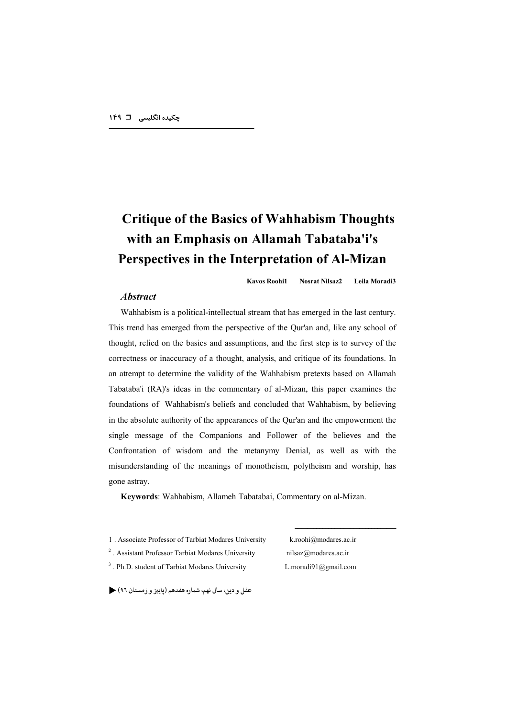# **Critique of the Basics of Wahhabism Thoughts with an Emphasis on Allamah Tabataba'i's Perspectives in the Interpretation of Al-Mizan**

**Kavos Roohi1 Nosrat Nilsaz2 Leila Moradi3** 

### *Abstract*

Wahhabism is a political-intellectual stream that has emerged in the last century. This trend has emerged from the perspective of the Qur'an and, like any school of thought, relied on the basics and assumptions, and the first step is to survey of the correctness or inaccuracy of a thought, analysis, and critique of its foundations. In an attempt to determine the validity of the Wahhabism pretexts based on Allamah Tabataba'i (RA)'s ideas in the commentary of al-Mizan, this paper examines the foundations of Wahhabism's beliefs and concluded that Wahhabism, by believing in the absolute authority of the appearances of the Qur'an and the empowerment the single message of the Companions and Follower of the believes and the Confrontation of wisdom and the metanymy Denial, as well as with the misunderstanding of the meanings of monotheism, polytheism and worship, has gone astray.

**Keywords**: Wahhabism, Allameh Tabatabai, Commentary on al-Mizan.

1 . Associate Professor of Tarbiat Modares University k.roohi@modares.ac.ir

<sup>2</sup>. Assistant Professor Tarbiat Modares University nilsaz@modares.ac.ir <sup>3</sup>. Ph.D. student of Tarbiat Modares University L.moradi91@gmail.com

#################################

عقل و دين، سال نهم، شماره هفدهم (پاييز و زمستان ٩٦)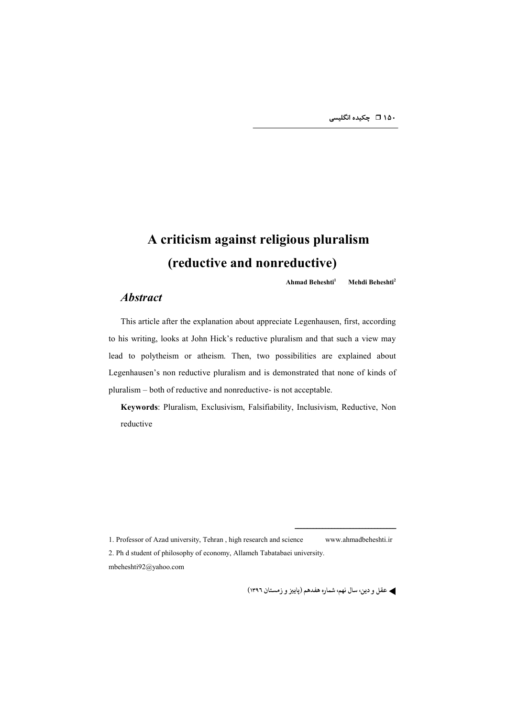# **A criticism against religious pluralism (reductive and nonreductive)**

**Ahmad Beheshti1 Mehdi Beheshti<sup>2</sup>**

### *Abstract*

This article after the explanation about appreciate Legenhausen, first, according to his writing, looks at John Hick's reductive pluralism and that such a view may lead to polytheism or atheism. Then, two possibilities are explained about Legenhausen's non reductive pluralism and is demonstrated that none of kinds of pluralism – both of reductive and nonreductive- is not acceptable.

**Keywords**: Pluralism, Exclusivism, Falsifiability, Inclusivism, Reductive, Non reductive

1. Professor of Azad university, Tehran , high research and science www.ahmadbeheshti.ir 2. Ph d student of philosophy of economy, Allameh Tabatabaei university. mbeheshti92@yahoo.com

**) عقل و دین سال نهم شماره هفدهم (پاییز و زمستان ۱۳۹۶)** 

#################################